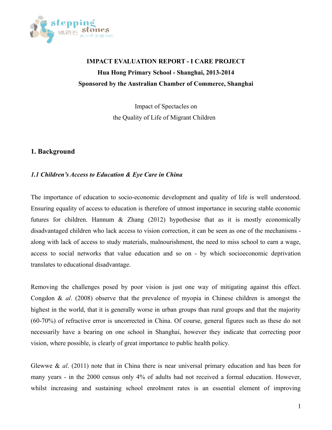

# **IMPACT EVALUATION REPORT - I CARE PROJECT Hua Hong Primary School - Shanghai, 2013-2014 Sponsored by the Australian Chamber of Commerce, Shanghai**

Impact of Spectacles on the Quality of Life of Migrant Children

# **1. Background**

# *1.1 Children's Access to Education & Eye Care in China*

The importance of education to socio-economic development and quality of life is well understood. Ensuring equality of access to education is therefore of utmost importance in securing stable economic futures for children. Hannum & Zhang (2012) hypothesise that as it is mostly economically disadvantaged children who lack access to vision correction, it can be seen as one of the mechanisms along with lack of access to study materials, malnourishment, the need to miss school to earn a wage, access to social networks that value education and so on - by which socioeconomic deprivation translates to educational disadvantage.

Removing the challenges posed by poor vision is just one way of mitigating against this effect. Congdon & *al*. (2008) observe that the prevalence of myopia in Chinese children is amongst the highest in the world, that it is generally worse in urban groups than rural groups and that the majority (60-70%) of refractive error is uncorrected in China. Of course, general figures such as these do not necessarily have a bearing on one school in Shanghai, however they indicate that correcting poor vision, where possible, is clearly of great importance to public health policy.

Glewwe & *al*. (2011) note that in China there is near universal primary education and has been for many years - in the 2000 census only 4% of adults had not received a formal education. However, whilst increasing and sustaining school enrolment rates is an essential element of improving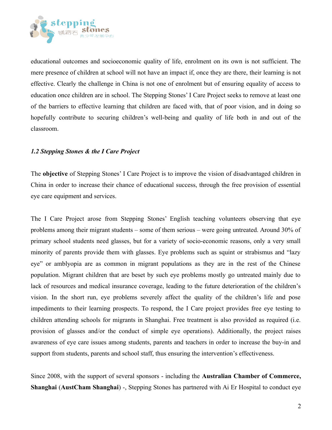

educational outcomes and socioeconomic quality of life, enrolment on its own is not sufficient. The mere presence of children at school will not have an impact if, once they are there, their learning is not effective. Clearly the challenge in China is not one of enrolment but of ensuring equality of access to education once children are in school. The Stepping Stones' I Care Project seeks to remove at least one of the barriers to effective learning that children are faced with, that of poor vision, and in doing so hopefully contribute to securing children's well-being and quality of life both in and out of the classroom.

#### *1.2 Stepping Stones & the I Care Project*

The **objective** of Stepping Stones' I Care Project is to improve the vision of disadvantaged children in China in order to increase their chance of educational success, through the free provision of essential eye care equipment and services.

The I Care Project arose from Stepping Stones' English teaching volunteers observing that eye problems among their migrant students – some of them serious – were going untreated. Around 30% of primary school students need glasses, but for a variety of socio-economic reasons, only a very small minority of parents provide them with glasses. Eye problems such as squint or strabismus and "lazy eye" or amblyopia are as common in migrant populations as they are in the rest of the Chinese population. Migrant children that are beset by such eye problems mostly go untreated mainly due to lack of resources and medical insurance coverage, leading to the future deterioration of the children's vision. In the short run, eye problems severely affect the quality of the children's life and pose impediments to their learning prospects. To respond, the I Care project provides free eye testing to children attending schools for migrants in Shanghai. Free treatment is also provided as required (i.e. provision of glasses and/or the conduct of simple eye operations). Additionally, the project raises awareness of eye care issues among students, parents and teachers in order to increase the buy-in and support from students, parents and school staff, thus ensuring the intervention's effectiveness.

Since 2008, with the support of several sponsors - including the **Australian Chamber of Commerce, Shanghai** (**AustCham Shanghai**) -, Stepping Stones has partnered with Ai Er Hospital to conduct eye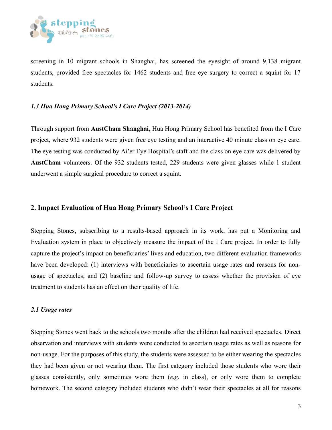

screening in 10 migrant schools in Shanghai, has screened the eyesight of around 9,138 migrant students, provided free spectacles for 1462 students and free eye surgery to correct a squint for 17 students.

## *1.3 Hua Hong Primary School's I Care Project (2013-2014)*

Through support from **AustCham Shanghai**, Hua Hong Primary School has benefited from the I Care project, where 932 students were given free eye testing and an interactive 40 minute class on eye care. The eye testing was conducted by Ai'er Eye Hospital's staff and the class on eye care was delivered by **AustCham** volunteers. Of the 932 students tested, 229 students were given glasses while 1 student underwent a simple surgical procedure to correct a squint.

# **2. Impact Evaluation of Hua Hong Primary School's I Care Project**

Stepping Stones, subscribing to a results-based approach in its work, has put a Monitoring and Evaluation system in place to objectively measure the impact of the I Care project. In order to fully capture the project's impact on beneficiaries' lives and education, two different evaluation frameworks have been developed: (1) interviews with beneficiaries to ascertain usage rates and reasons for nonusage of spectacles; and (2) baseline and follow-up survey to assess whether the provision of eye treatment to students has an effect on their quality of life.

#### *2.1 Usage rates*

Stepping Stones went back to the schools two months after the children had received spectacles. Direct observation and interviews with students were conducted to ascertain usage rates as well as reasons for non-usage. For the purposes of this study, the students were assessed to be either wearing the spectacles they had been given or not wearing them. The first category included those students who wore their glasses consistently, only sometimes wore them (*e.g.* in class), or only wore them to complete homework. The second category included students who didn't wear their spectacles at all for reasons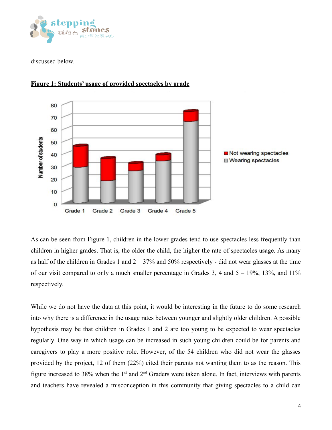

discussed below.



**Figure 1: Students' usage of provided spectacles by grade**

As can be seen from Figure 1, children in the lower grades tend to use spectacles less frequently than children in higher grades. That is, the older the child, the higher the rate of spectacles usage. As many as half of the children in Grades 1 and  $2 - 37\%$  and 50% respectively - did not wear glasses at the time of our visit compared to only a much smaller percentage in Grades 3, 4 and  $5 - 19\%$ ,  $13\%$ , and  $11\%$ respectively.

While we do not have the data at this point, it would be interesting in the future to do some research into why there is a difference in the usage rates between younger and slightly older children. A possible hypothesis may be that children in Grades 1 and 2 are too young to be expected to wear spectacles regularly. One way in which usage can be increased in such young children could be for parents and caregivers to play a more positive role. However, of the 54 children who did not wear the glasses provided by the project, 12 of them (22%) cited their parents not wanting them to as the reason. This figure increased to 38% when the  $1<sup>st</sup>$  and  $2<sup>nd</sup>$  Graders were taken alone. In fact, interviews with parents and teachers have revealed a misconception in this community that giving spectacles to a child can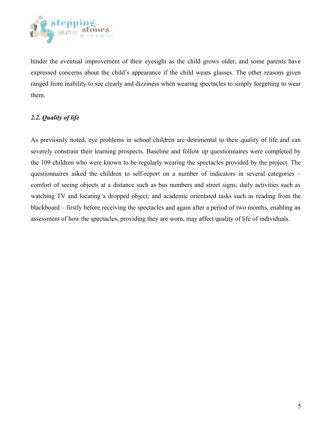

hinder the eventual improvement of their eyesight as the child grows older, and some parents have expressed concerns about the child's appearance if the child wears glasses. The other reasons given ranged from inability to see clearly and dizziness when wearing spectacles to simply forgetting to wear them.

# *2.2. Quality of life*

As previously noted, eye problems in school children are detrimental to their quality of life and can severely constrain their learning prospects. Baseline and follow up questionnaires were completed by the 109 children who were known to be regularly wearing the spectacles provided by the project. The questionnaires asked the children to self-report on a number of indicators in several categories – comfort of seeing objects at a distance such as bus numbers and street signs; daily activities such as watching TV and locating a dropped object; and academic orientated tasks such as reading from the blackboard – firstly before receiving the spectacles and again after a period of two months, enabling an assessment of how the spectacles, providing they are worn, may affect quality of life of individuals.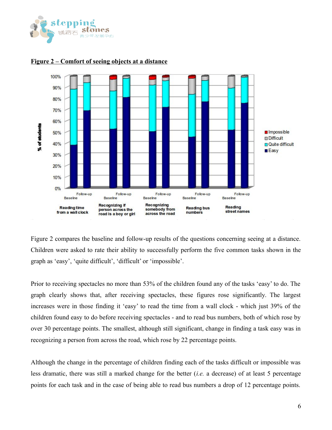



#### **Figure 2 – Comfort of seeing objects at a distance**

Figure 2 compares the baseline and follow-up results of the questions concerning seeing at a distance. Children were asked to rate their ability to successfully perform the five common tasks shown in the graph as 'easy', 'quite difficult', 'difficult' or 'impossible'.

Prior to receiving spectacles no more than 53% of the children found any of the tasks 'easy' to do. The graph clearly shows that, after receiving spectacles, these figures rose significantly. The largest increases were in those finding it 'easy' to read the time from a wall clock - which just 39% of the children found easy to do before receiving spectacles - and to read bus numbers, both of which rose by over 30 percentage points. The smallest, although still significant, change in finding a task easy was in recognizing a person from across the road, which rose by 22 percentage points.

Although the change in the percentage of children finding each of the tasks difficult or impossible was less dramatic, there was still a marked change for the better (*i.e.* a decrease) of at least 5 percentage points for each task and in the case of being able to read bus numbers a drop of 12 percentage points.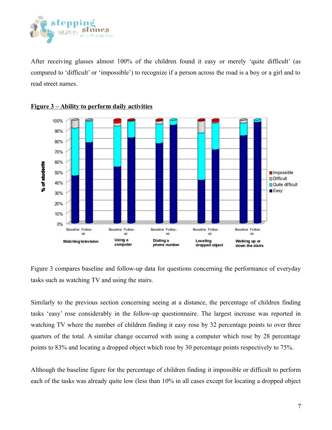

After receiving glasses almost 100% of the children found it easy or merely 'quite difficult' (as compared to 'difficult' or 'impossible') to recognize if a person across the road is a boy or a girl and to read street names.





Figure 3 compares baseline and follow-up data for questions concerning the performance of everyday tasks such as watching TV and using the stairs.

Similarly to the previous section concerning seeing at a distance, the percentage of children finding tasks 'easy' rose considerably in the follow-up questionnaire. The largest increase was reported in watching TV where the number of children finding it easy rose by 32 percentage points to over three quarters of the total. A similar change occurred with using a computer which rose by 28 percentage points to 83% and locating a dropped object which rose by 30 percentage points respectively to 75%.

Although the baseline figure for the percentage of children finding it impossible or difficult to perform each of the tasks was already quite low (less than 10% in all cases except for locating a dropped object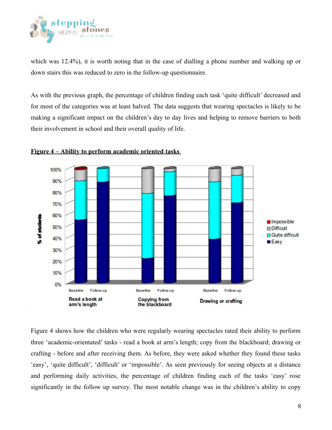

which was 12.4%), it is worth noting that in the case of dialling a phone number and walking up or down stairs this was reduced to zero in the follow-up questionnaire.

As with the previous graph, the percentage of children finding each task 'quite difficult' decreased and for most of the categories was at least halved. The data suggests that wearing spectacles is likely to be making a significant impact on the children's day to day lives and helping to remove barriers to both their involvement in school and their overall quality of life.



# **Figure 4 –Ability to perform academic oriented tasks**

Figure 4 shows how the children who were regularly wearing spectacles rated their ability to perform three 'academic-orientated' tasks - read a book at arm's length; copy from the blackboard; drawing or crafting - before and after receiving them. As before, they were asked whether they found these tasks 'easy', 'quite difficult', 'difficult' or 'impossible'. As seen previously for seeing objects at a distance and performing daily activities, the percentage of children finding each of the tasks 'easy' rose significantly in the follow up survey. The most notable change was in the children's ability to copy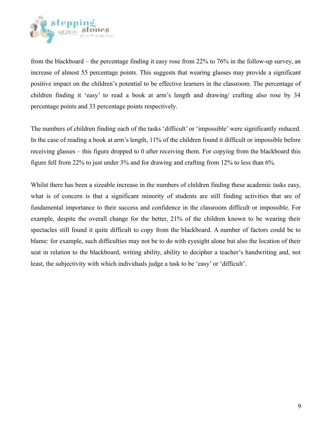

from the blackboard – the percentage finding it easy rose from 22% to 76% in the follow-up survey, an increase of almost 55 percentage points. This suggests that wearing glasses may provide a significant positive impact on the children's potential to be effective learners in the classroom. The percentage of children finding it 'easy' to read a book at arm's length and drawing/ crafting also rose by 34 percentage points and 33 percentage points respectively.

The numbers of children finding each of the tasks 'difficult' or 'impossible' were significantly reduced. In the case of reading a book at arm's length, 11% of the children found it difficult or impossible before receiving glasses – this figure dropped to 0 after receiving them. For copying from the blackboard this figure fell from 22% to just under 3% and for drawing and crafting from 12% to less than 6%.

Whilst there has been a sizeable increase in the numbers of children finding these academic tasks easy, what is of concern is that a significant minority of students are still finding activities that are of fundamental importance to their success and confidence in the classroom difficult or impossible. For example, despite the overall change for the better, 21% of the children known to be wearing their spectacles still found it quite difficult to copy from the blackboard. A number of factors could be to blame: for example, such difficulties may not be to do with eyesight alone but also the location of their seat in relation to the blackboard, writing ability, ability to decipher a teacher's handwriting and, not least, the subjectivity with which individuals judge a task to be 'easy' or 'difficult'.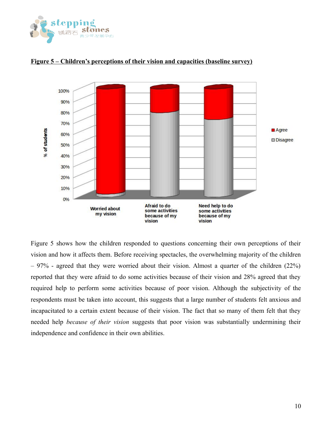



#### **Figure 5 –Children's perceptions of their vision and capacities (baseline survey)**

Figure 5 shows how the children responded to questions concerning their own perceptions of their vision and how it affects them. Before receiving spectacles, the overwhelming majority of the children – 97% - agreed that they were worried about their vision. Almost a quarter of the children (22%) reported that they were afraid to do some activities because of their vision and 28% agreed that they required help to perform some activities because of poor vision. Although the subjectivity of the respondents must be taken into account, this suggests that a large number of students felt anxious and incapacitated to a certain extent because of their vision. The fact that so many of them felt that they needed help *because of their vision* suggests that poor vision was substantially undermining their independence and confidence in their own abilities.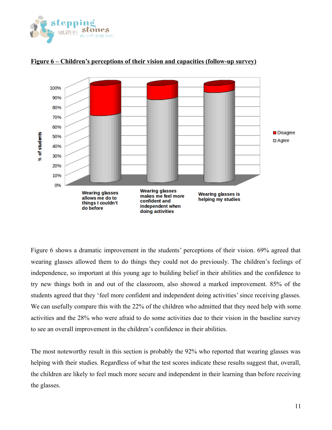



## **Figure 6 –Children's perceptions of their vision and capacities (follow-up survey)**

Figure 6 shows a dramatic improvement in the students' perceptions of their vision. 69% agreed that wearing glasses allowed them to do things they could not do previously. The children's feelings of independence, so important at this young age to building belief in their abilities and the confidence to try new things both in and out of the classroom, also showed a marked improvement. 85% of the students agreed that they 'feel more confident and independent doing activities' since receiving glasses. We can usefully compare this with the 22% of the children who admitted that they need help with some activities and the 28% who were afraid to do some activities due to their vision in the baseline survey to see an overall improvement in the children's confidence in their abilities.

The most noteworthy result in this section is probably the 92% who reported that wearing glasses was helping with their studies. Regardless of what the test scores indicate these results suggest that, overall, the children are likely to feel much more secure and independent in their learning than before receiving the glasses.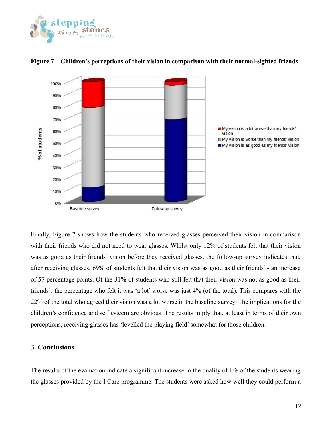



#### **Figure 7 –Children's perceptions of their vision in comparison with their normal-sighted friends**

Finally, Figure 7 shows how the students who received glasses perceived their vision in comparison with their friends who did not need to wear glasses. Whilst only 12% of students felt that their vision was as good as their friends' vision before they received glasses, the follow-up survey indicates that, after receiving glasses, 69% of students felt that their vision was as good as their friends' - an increase of 57 percentage points. Of the 31% of students who still felt that their vision was not as good as their friends', the percentage who felt it was 'a lot' worse was just 4% (of the total). This compares with the 22% of the total who agreed their vision was a lot worse in the baseline survey. The implications for the children's confidence and self esteem are obvious. The results imply that, at least in terms of their own perceptions, receiving glasses has 'levelled the playing field' somewhat for those children.

#### **3. Conclusions**

The results of the evaluation indicate a significant increase in the quality of life of the students wearing the glasses provided by the I Care programme. The students were asked how well they could perform a